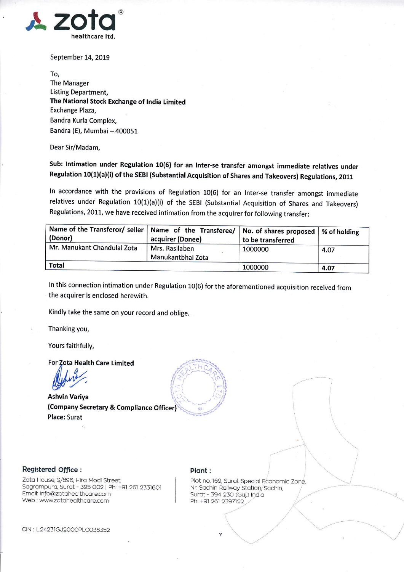

September 14, 2019

To, The Manager Listing Department, The National Stock Exchange of India Limited Exchange Plaza, Bandra Kurla Complex, Bandra (E), Mumbai - 400051

Dear Sir/Madam,

Sub: Intimation under Regulation 10(6) for an Inter-se transfer amongst immediate relatives under Regulation 10(1)(a)(i) of the SEBI (Substantial Acquisition of Shares and Takeovers) Regulations, 2011

ln accordance with the provisions of Regulation 10(6) for an lnter-se transfer amongst immediate relatives under Regulation 10(1)(a)(i) of the SEBI (Substantial Acquisition of Shares and Takeovers) Regulations, 2011, we have received intimation from the acquirer for following transfer:

| Name of the Transferor/ seller   Name of the Transferee/   No. of shares proposed   % of holding<br>(Donor) | acquirer (Donee)                    | to be transferred |      |  |
|-------------------------------------------------------------------------------------------------------------|-------------------------------------|-------------------|------|--|
| Mr. Manukant Chandulal Zota                                                                                 | Mrs. Rasilaben<br>Manukantbhai Zota | 1000000           | 4.07 |  |
| <b>Total</b>                                                                                                |                                     | 1000000           | 4.07 |  |

ln this connection intimation under Regulation 10(6) for the aforementioned acquisition received from the acquirer is enclosed herewith.

li

 $\frac{1}{2}$ 

) ' '".i

Kindly take the same on your record and oblige.

Thanking you,

Yours faithfully,

For Zota Health Care Limited

Ashvin Variya (Company Secretary & Compliance Officer) Place: Surat

## Registered Office :

Zota House, 2/896, Hira Modi Street, Sagrampura, Surat - 395 002 | Ph: +91 261 2331601 Emqil: info@zotoheolthcqre.com Web : www.zotahealthcare.com

## Plant :

Plot no. 169, Surat Special Economic Zone. Nr. Sachin Railway Station, Sachin. Surat - 394 230 (Guj.) India<br>Ph: +91 261 2397122

> $\mathcal{J}'$  $\ddot{\phantom{0}}$

 $\begin{array}{cc} \sqrt{2} & \sqrt{2} & \sqrt{2} \end{array}$ 

 $-$ 

l'

CIN : L24231GJ2OOOPLCO3B352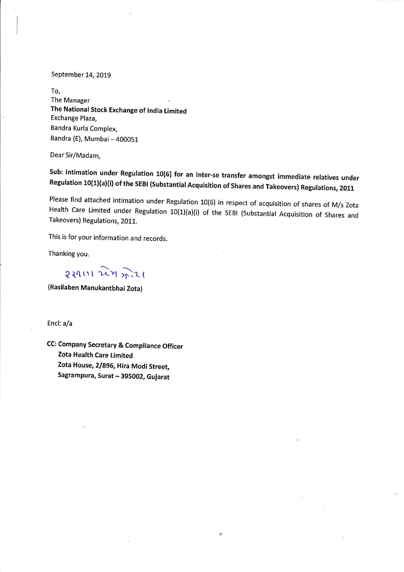September 14, 2019

To, The Manager The National Stock Exchange of lndia Limited Exchange Plaza, Bandra Kurla Complex, Bandra (E), Mumbai - 400051

Dear Sir/Madam,

Sub: Intimation under Regulation 10(6) for an Inter-se transfer amongst immediate relatives under<br>Regulation 10(1)(a)(i) of the SEBI (Substantial Acquisition of Shares and Takeovers) Regulations, 2011

Please find attached intimation under Regulation 10(6) in respect of acquisition of shares of M/s Zota<br>Health Care Limited under Regulation 10(1)(a)(i) of the SEBI (Substantial Acquisition of Shares and<br>Takeovers) Regulati

This is for your information and records.

Thanking you.

 $2291112$   $273721$ 

(Rasilaben Manukantbhai Zota)

Encl: a/a

CC: Company Secretary & Compliance Officer Zota Health Care Limited Zota House, 2/896, Hira Modi Street, Sagrampura, Surat - 395002, Gujarat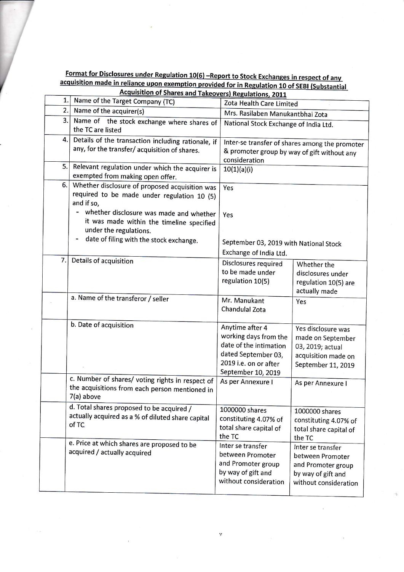|    | <u>above the relative apon exemption provided for in Regulation 10 of SEBI (Substantial</u><br><b>Acquisition of Shares and Takeovers) Regulations, 2011</b> |                                              |                                                |  |  |
|----|--------------------------------------------------------------------------------------------------------------------------------------------------------------|----------------------------------------------|------------------------------------------------|--|--|
| 1. | Name of the Target Company (TC)                                                                                                                              | Zota Health Care Limited                     |                                                |  |  |
| 2. | Name of the acquirer(s)                                                                                                                                      | Mrs. Rasilaben Manukantbhai Zota             |                                                |  |  |
| 3. | Name of the stock exchange where shares of                                                                                                                   |                                              |                                                |  |  |
|    | the TC are listed                                                                                                                                            |                                              | National Stock Exchange of India Ltd.          |  |  |
| 4. | Details of the transaction including rationale, if                                                                                                           |                                              | Inter-se transfer of shares among the promoter |  |  |
|    | any, for the transfer/acquisition of shares.                                                                                                                 |                                              |                                                |  |  |
|    |                                                                                                                                                              | consideration                                | & promoter group by way of gift without any    |  |  |
| 5. | Relevant regulation under which the acquirer is                                                                                                              | 10(1)(a)(i)                                  |                                                |  |  |
|    | exempted from making open offer.                                                                                                                             |                                              |                                                |  |  |
| 6. | Whether disclosure of proposed acquisition was                                                                                                               | Yes                                          |                                                |  |  |
|    | required to be made under regulation 10 (5)                                                                                                                  |                                              |                                                |  |  |
|    | and if so,                                                                                                                                                   |                                              |                                                |  |  |
|    | whether disclosure was made and whether                                                                                                                      | Yes                                          |                                                |  |  |
|    | it was made within the timeline specified                                                                                                                    |                                              |                                                |  |  |
|    | under the regulations.                                                                                                                                       |                                              |                                                |  |  |
|    | date of filing with the stock exchange.                                                                                                                      | September 03, 2019 with National Stock       |                                                |  |  |
|    |                                                                                                                                                              | Exchange of India Ltd.                       |                                                |  |  |
| 7. | Details of acquisition                                                                                                                                       | Disclosures required                         | Whether the                                    |  |  |
|    |                                                                                                                                                              | to be made under                             | disclosures under                              |  |  |
|    |                                                                                                                                                              | regulation 10(5)                             | regulation 10(5) are                           |  |  |
|    |                                                                                                                                                              |                                              | actually made                                  |  |  |
|    | a. Name of the transferor / seller                                                                                                                           | Mr. Manukant                                 | Yes                                            |  |  |
|    |                                                                                                                                                              | Chandulal Zota                               |                                                |  |  |
|    | b. Date of acquisition                                                                                                                                       |                                              |                                                |  |  |
|    |                                                                                                                                                              | Anytime after 4                              | Yes disclosure was                             |  |  |
|    |                                                                                                                                                              | working days from the                        | made on September                              |  |  |
|    |                                                                                                                                                              | date of the intimation                       | 03, 2019; actual                               |  |  |
|    |                                                                                                                                                              | dated September 03,<br>2019 i.e. on or after | acquisition made on                            |  |  |
|    |                                                                                                                                                              | September 10, 2019                           | September 11, 2019                             |  |  |
|    | c. Number of shares/ voting rights in respect of                                                                                                             | As per Annexure I                            |                                                |  |  |
|    | the acquisitions from each person mentioned in                                                                                                               |                                              | As per Annexure I                              |  |  |
|    | 7(a) above                                                                                                                                                   |                                              |                                                |  |  |
|    | d. Total shares proposed to be acquired /                                                                                                                    | 1000000 shares                               | 1000000 shares                                 |  |  |
|    | actually acquired as a % of diluted share capital                                                                                                            | constituting 4.07% of                        | constituting 4.07% of                          |  |  |
|    | of TC                                                                                                                                                        | total share capital of                       | total share capital of                         |  |  |
|    |                                                                                                                                                              | the TC                                       | the TC                                         |  |  |
|    | e. Price at which shares are proposed to be                                                                                                                  | Inter se transfer                            | Inter se transfer                              |  |  |
|    | acquired / actually acquired                                                                                                                                 | between Promoter                             | between Promoter                               |  |  |
|    |                                                                                                                                                              | and Promoter group                           | and Promoter group                             |  |  |
|    |                                                                                                                                                              | by way of gift and                           | by way of gift and                             |  |  |
|    |                                                                                                                                                              | without consideration                        | without consideration                          |  |  |
|    |                                                                                                                                                              |                                              |                                                |  |  |

Format for Disclosures under Regulation 10(6) -Report to Stock Exchanges in respect of any<br>acquisition made in reliance upon exemption provided for in Pequlation 10 of SERL(Subdention

 $\gamma$ 

 $\tilde{E}$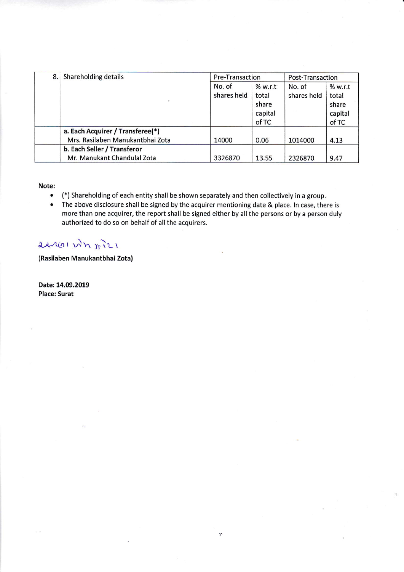| 8.1 | Shareholding details             | <b>Pre-Transaction</b> |         | Post-Transaction |         |
|-----|----------------------------------|------------------------|---------|------------------|---------|
|     |                                  | No. of                 | % w.r.t | No. of           | % w.r.t |
|     |                                  | shares held            | total   | shares held      | total   |
|     |                                  |                        | share   |                  | share   |
|     |                                  |                        | capital |                  | capital |
|     |                                  |                        | of TC   |                  | of TC   |
|     | a. Each Acquirer / Transferee(*) |                        |         |                  |         |
|     | Mrs. Rasilaben Manukantbhai Zota | 14000                  | 0.06    | 1014000          | 4.13    |
|     | b. Each Seller / Transferor      |                        |         |                  |         |
|     | Mr. Manukant Chandulal Zota      | 3326870                | 13.55   | 2326870          | 9.47    |

Note:

- (\*) Shareholding of each entity shall be shown separately and then collectively in a group.
- The above disclosure shall be signed by the acquirer mentioning date & place. In case, there is more than one acquirer, the report shall be signed either by all the persons or by a person duly authorized to do so on behalf of all the acquirers.

 $\gamma$ 

## $22401$   $\mu$ n  $\tilde{r}$

(Rasilaben Manukantbhai zota)

Date: 14.09.2019 Place: Surat